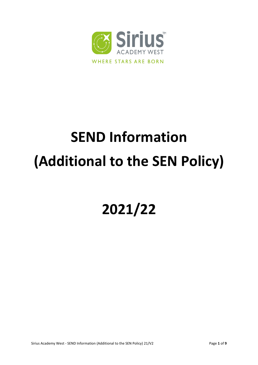

# **SEND Information (Additional to the SEN Policy)**

# **2021/22**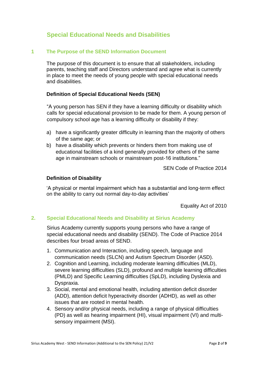# **Special Educational Needs and Disabilities**

#### **1 The Purpose of the SEND Information Document**

The purpose of this document is to ensure that all stakeholders, including parents, teaching staff and Directors understand and agree what is currently in place to meet the needs of young people with special educational needs and disabilities.

#### **Definition of Special Educational Needs (SEN)**

"A young person has SEN if they have a learning difficulty or disability which calls for special educational provision to be made for them. A young person of compulsory school age has a learning difficulty or disability if they:

- a) have a significantly greater difficulty in learning than the majority of others of the same age; or
- b) have a disability which prevents or hinders them from making use of educational facilities of a kind generally provided for others of the same age in mainstream schools or mainstream post-16 institutions."

SEN Code of Practice 2014

#### **Definition of Disability**

'A physical or mental impairment which has a substantial and long-term effect on the ability to carry out normal day-to-day activities'

Equality Act of 2010

#### **2. Special Educational Needs and Disability at Sirius Academy**

Sirius Academy currently supports young persons who have a range of special educational needs and disability (SEND). The Code of Practice 2014 describes four broad areas of SEND.

- 1. Communication and Interaction, including speech, language and communication needs (SLCN) and Autism Spectrum Disorder (ASD).
- 2. Cognition and Learning, including moderate learning difficulties (MLD), severe learning difficulties (SLD), profound and multiple learning difficulties (PMLD) and Specific Learning difficulties (SpLD), including Dyslexia and Dyspraxia.
- 3. Social, mental and emotional health, including attention deficit disorder (ADD), attention deficit hyperactivity disorder (ADHD), as well as other issues that are rooted in mental health.
- 4. Sensory and/or physical needs, including a range of physical difficulties (PD) as well as hearing impairment (HI), visual impairment (VI) and multisensory impairment (MSI).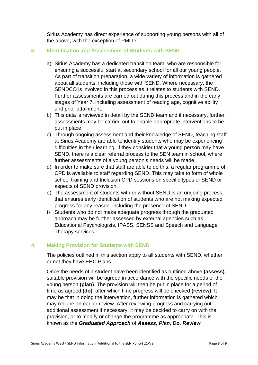Sirius Academy has direct experience of supporting young persons with all of the above, with the exception of PMLD.

# **3. Identification and Assessment of Students with SEND**

- a) Sirius Academy has a dedicated transition team, who are responsible for ensuring a successful start at secondary school for all our young people. As part of transition preparation, a wide variety of information is gathered about all students, including those with SEND. Where necessary, the SENDCO is involved in this process as it relates to students with SEND. Further assessments are carried out during this process and in the early stages of Year 7, including assessment of reading age, cognitive ability and prior attainment.
- b) This data is reviewed in detail by the SEND team and if necessary, further assessments may be carried out to enable appropriate interventions to be put in place.
- c) Through ongoing assessment and their knowledge of SEND, teaching staff at Sirius Academy are able to identify students who may be experiencing difficulties in their learning. If they consider that a young person may have SEND, there is a clear referral process to the SEN team in school, where further assessments of a young person's needs will be made.
- d) In order to make sure that staff are able to do this, a regular programme of CPD is available to staff regarding SEND. This may take to form of whole school training and Inclusion CPD sessions on specific types of SEND or aspects of SEND provision.
- e) The assessment of students with or without SEND is an ongoing process that ensures early identification of students who are not making expected progress for any reason, including the presence of SEND.
- f) Students who do not make adequate progress through the graduated approach may be further assessed by external agencies such as Educational Psychologists, IPASS, SENSS and Speech and Language Therapy services.

# **4. Making Provision for Students with SEND**

The policies outlined in this section apply to all students with SEND, whether or not they have EHC Plans.

Once the needs of a student have been identified as outlined above **(assess)**, suitable provision will be agreed in accordance with the specific needs of the young person **(plan)**. The provision will then be put in place for a period of time as agreed **(do)**, after which time progress will be checked **(review)**. It may be that in doing the intervention, further information is gathered which may require an earlier review. After reviewing progress and carrying out additional assessment if necessary, it may be decided to carry on with the provision, or to modify or change the programme as appropriate. This is known as the *Graduated Approach* of *Assess, Plan, Do, Review.*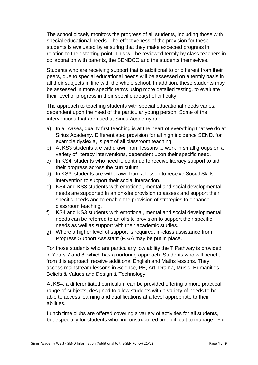The school closely monitors the progress of all students, including those with special educational needs. The effectiveness of the provision for these students is evaluated by ensuring that they make expected progress in relation to their starting point. This will be reviewed termly by class teachers in collaboration with parents, the SENDCO and the students themselves.

Students who are receiving support that is additional to or different from their peers, due to special educational needs will be assessed on a termly basis in all their subjects in line with the whole school. In addition, these students may be assessed in more specific terms using more detailed testing, to evaluate their level of progress in their specific area(s) of difficulty.

The approach to teaching students with special educational needs varies, dependent upon the need of the particular young person. Some of the interventions that are used at Sirius Academy are:

- a) In all cases, quality first teaching is at the heart of everything that we do at Sirius Academy. Differentiated provision for all high incidence SEND, for example dyslexia, is part of all classroom teaching.
- b) At KS3 students are withdrawn from lessons to work in small groups on a variety of literacy interventions, dependent upon their specific need.
- c) In KS4, students who need it, continue to receive literacy support to aid their progress across the curriculum.
- d) In KS3, students are withdrawn from a lesson to receive Social Skills intervention to support their social interaction.
- e) KS4 and KS3 students with emotional, mental and social developmental needs are supported in an on-site provision to assess and support their specific needs and to enable the provision of strategies to enhance classroom teaching.
- f) KS4 and KS3 students with emotional, mental and social developmental needs can be referred to an offsite provision to support their specific needs as well as support with their academic studies.
- g) Where a higher level of support is required, in-class assistance from Progress Support Assistant (PSA) may be put in place.

For those students who are particularly low ability the T Pathway is provided in Years 7 and 8, which has a nurturing approach. Students who will benefit from this approach receive additional English and Maths lessons. They access mainstream lessons in Science, PE, Art, Drama, Music, Humanities, Beliefs & Values and Design & Technology.

At KS4, a differentiated curriculum can be provided offering a more practical range of subjects, designed to allow students with a variety of needs to be able to access learning and qualifications at a level appropriate to their abilities.

Lunch time clubs are offered covering a variety of activities for all students, but especially for students who find unstructured time difficult to manage. For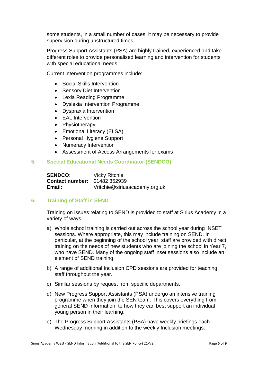some students, in a small number of cases, it may be necessary to provide supervision during unstructured times.

Progress Support Assistants (PSA) are highly trained, experienced and take different roles to provide personalised learning and intervention for students with special educational needs.

Current intervention programmes include:

- Social Skills Intervention
- Sensory Diet Intervention
- Lexia Reading Programme
- Dyslexia Intervention Programme
- Dyspraxia Intervention
- EAL Intervention
- Physiotherapy
- Emotional Literacy (ELSA)
- Personal Hygiene Support
- Numeracy Intervention
- Assessment of Access Arrangements for exams

#### **5. Special Educational Needs Coordinator (SENDCO)**

| <b>SENDCO:</b>                      | <b>Vicky Ritchie</b>          |
|-------------------------------------|-------------------------------|
| <b>Contact number: 01482 352939</b> |                               |
| Email:                              | Vritchie@siriusacademy.org.uk |

#### **6. Training of Staff in SEND**

Training on issues relating to SEND is provided to staff at Sirius Academy in a variety of ways.

- a) Whole school training is carried out across the school year during INSET sessions. Where appropriate, this may include training on SEND. In particular, at the beginning of the school year, staff are provided with direct training on the needs of new students who are joining the school in Year 7, who have SEND. Many of the ongoing staff inset sessions also include an element of SEND training.
- b) A range of additional Inclusion CPD sessions are provided for teaching staff throughout the year.
- c) Similar sessions by request from specific departments.
- d) New Progress Support Assistants (PSA) undergo an intensive training programme when they join the SEN team. This covers everything from general SEND Information, to how they can best support an individual young person in their learning.
- e) The Progress Support Assistants (PSA) have weekly briefings each Wednesday morning in addition to the weekly Inclusion meetings.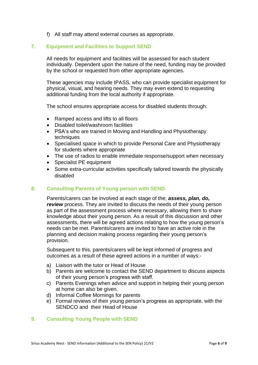f) All staff may attend external courses as appropriate.

# **7. Equipment and Facilities to Support SEND**

All needs for equipment and facilities will be assessed for each student individually. Dependent upon the nature of the need, funding may be provided by the school or requested from other appropriate agencies.

These agencies may include IPASS, who can provide specialist equipment for physical, visual, and hearing needs. They may even extend to requesting additional funding from the local authority if appropriate.

The school ensures appropriate access for disabled students through:

- Ramped access and lifts to all floors
- Disabled toilet/washroom facilities
- PSA's who are trained in Moving and Handling and Physiotherapy techniques
- Specialised space in which to provide Personal Care and Physiotherapy for students where appropriate
- The use of radios to enable immediate response/support when necessary
- Specialist PE equipment
- Some extra-curricular activities specifically tailored towards the physically disabled

#### **8. Consulting Parents of Young person with SEND**

Parents/carers can be involved at each stage of the; *assess, plan, do, review* process. They are invited to discuss the needs of their young person as part of the assessment process where necessary, allowing them to share knowledge about their young person. As a result of this discussion and other assessments, there will be agreed actions relating to how the young person's needs can be met. Parents/carers are invited to have an active role in the planning and decision making process regarding their young person's provision.

Subsequent to this, parents/carers will be kept informed of progress and outcomes as a result of these agreed actions in a number of ways:-

- a) Liaison with the tutor or Head of House
- b) Parents are welcome to contact the SEND department to discuss aspects of their young person's progress with staff.
- c) Parents Evenings when advice and support in helping their young person at home can also be given.
- d) Informal Coffee Mornings for parents
- e) Formal reviews of their young person's progress as appropriate, with the SENDCO and their Head of House

#### **9. Consulting Young People with SEND**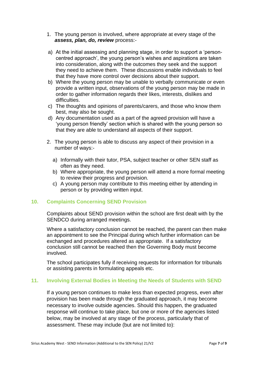- 1. The young person is involved, where appropriate at every stage of the *assess, plan, do, review* process:-
- a) At the initial assessing and planning stage, in order to support a 'personcentred approach', the young person's wishes and aspirations are taken into consideration, along with the outcomes they seek and the support they need to achieve them. These discussions enable individuals to feel that they have more control over decisions about their support.
- b) Where the young person may be unable to verbally communicate or even provide a written input, observations of the young person may be made in order to gather information regards their likes, interests, dislikes and difficulties.
- c) The thoughts and opinions of parents/carers, and those who know them best, may also be sought.
- d) Any documentation used as a part of the agreed provision will have a 'young person friendly' section which is shared with the young person so that they are able to understand all aspects of their support.
- 2. The young person is able to discuss any aspect of their provision in a number of ways:
	- a) Informally with their tutor, PSA, subject teacher or other SEN staff as often as they need.
	- b) Where appropriate, the young person will attend a more formal meeting to review their progress and provision.
	- c) A young person may contribute to this meeting either by attending in person or by providing written input.

# **10. Complaints Concerning SEND Provision**

Complaints about SEND provision within the school are first dealt with by the SENDCO during arranged meetings.

Where a satisfactory conclusion cannot be reached, the parent can then make an appointment to see the Principal during which further information can be exchanged and procedures altered as appropriate. If a satisfactory conclusion still cannot be reached then the Governing Body must become involved.

The school participates fully if receiving requests for information for tribunals or assisting parents in formulating appeals etc.

# **11. Involving External Bodies in Meeting the Needs of Students with SEND**

If a young person continues to make less than expected progress, even after provision has been made through the graduated approach, it may become necessary to involve outside agencies. Should this happen, the graduated response will continue to take place, but one or more of the agencies listed below, may be involved at any stage of the process, particularly that of assessment. These may include (but are not limited to):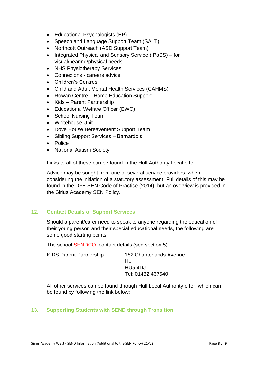- Educational Psychologists (EP)
- Speech and Language Support Team (SALT)
- Northcott Outreach (ASD Support Team)
- Integrated Physical and Sensory Service (IPaSS) for visual/hearing/physical needs
- NHS Physiotherapy Services
- Connexions careers advice
- Children's Centres
- Child and Adult Mental Health Services (CAHMS)
- Rowan Centre Home Education Support
- Kids Parent Partnership
- Educational Welfare Officer (EWO)
- School Nursing Team
- Whitehouse Unit
- Dove House Bereavement Support Team
- Sibling Support Services Barnardo's
- Police
- National Autism Society

Links to all of these can be found in the Hull Authority Local offer.

Advice may be sought from one or several service providers, when considering the initiation of a statutory assessment. Full details of this may be found in the DFE SEN Code of Practice (2014), but an overview is provided in the Sirius Academy SEN Policy.

# **12. Contact Details of Support Services**

Should a parent/carer need to speak to anyone regarding the education of their young person and their special educational needs, the following are some good starting points:

The school SENDCO, contact details (see section 5).

| <b>KIDS Parent Partnership:</b> | <b>182 Chanterlands Avenue</b> |
|---------------------------------|--------------------------------|
|                                 | Hull                           |
|                                 | HU5 4DJ                        |
|                                 | Tel: 01482 467540              |
|                                 |                                |

All other services can be found through Hull Local Authority offer, which can be found by following the link below:

# **13. Supporting Students with SEND through Transition**